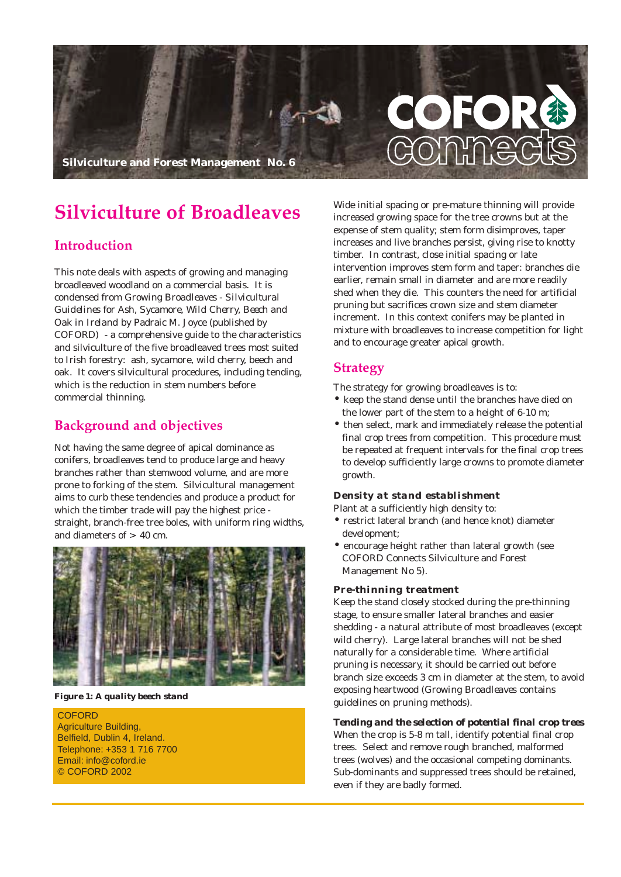

# **Silviculture of Broadleaves**

# **Introduction**

This note deals with aspects of growing and managing broadleaved woodland on a commercial basis. It is condensed from *Growing Broadleaves - Silvicultural Guidelines for Ash, Sycamore, Wild Cherry, Beech and Oak in Ireland* by Padraic M. Joyce (published by COFORD) - a comprehensive guide to the characteristics and silviculture of the five broadleaved trees most suited to Irish forestry: ash, sycamore, wild cherry, beech and oak. It covers silvicultural procedures, including tending, which is the reduction in stem numbers before commercial thinning.

# **Background and objectives**

Not having the same degree of apical dominance as conifers, broadleaves tend to produce large and heavy branches rather than stemwood volume, and are more prone to forking of the stem. Silvicultural management aims to curb these tendencies and produce a product for which the timber trade will pay the highest price straight, branch-free tree boles, with uniform ring widths, and diameters of  $> 40$  cm.



*Figure 1: A quality beech stand*

**COFORD** Agriculture Building, Belfield, Dublin 4, Ireland. Telephone: +353 1 716 7700 Email: info@coford.ie © COFORD 2002

Wide initial spacing or pre-mature thinning will provide increased growing space for the tree crowns but at the expense of stem quality; stem form disimproves, taper increases and live branches persist, giving rise to knotty timber. In contrast, close initial spacing or late intervention improves stem form and taper: branches die earlier, remain small in diameter and are more readily shed when they die. This counters the need for artificial pruning but sacrifices crown size and stem diameter increment. In this context conifers may be planted in mixture with broadleaves to increase competition for light and to encourage greater apical growth.

## **Strategy**

The strategy for growing broadleaves is to:

- keep the stand dense until the branches have died on the lower part of the stem to a height of 6-10 m;
- then select, mark and immediately release the potential final crop trees from competition. This procedure must be repeated at frequent intervals for the final crop trees to develop sufficiently large crowns to promote diameter growth.

## *Density at stand establishment*

Plant at a sufficiently high density to:

- restrict lateral branch (and hence knot) diameter development;
- encourage height rather than lateral growth (see COFORD Connects Silviculture and Forest Management No 5).

#### *Pre-thinning treatment*

Keep the stand closely stocked during the pre-thinning stage, to ensure smaller lateral branches and easier shedding - a natural attribute of most broadleaves (except wild cherry). Large lateral branches will not be shed naturally for a considerable time. Where artificial pruning is necessary, it should be carried out before branch size exceeds 3 cm in diameter at the stem, to avoid exposing heartwood (*Growing Broadleaves* contains guidelines on pruning methods).

#### *Tending and the selection of potential final crop trees*

When the crop is 5-8 m tall, identify potential final crop trees. Select and remove rough branched, malformed trees (wolves) and the occasional competing dominants. Sub-dominants and suppressed trees should be retained, even if they are badly formed.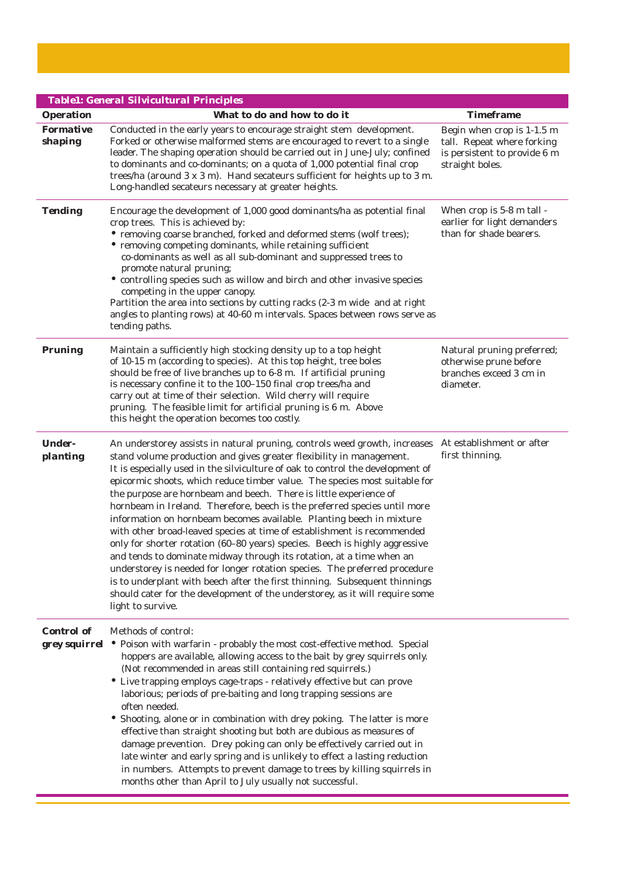|                             | <b>Table1: General Silvicultural Principles</b>                                                                                                                                                                                                                                                                                                                                                                                                                                                                                                                                                                                                                                                                                                                                                                                                                                                                                                                                                                                                 |                                                                                                             |
|-----------------------------|-------------------------------------------------------------------------------------------------------------------------------------------------------------------------------------------------------------------------------------------------------------------------------------------------------------------------------------------------------------------------------------------------------------------------------------------------------------------------------------------------------------------------------------------------------------------------------------------------------------------------------------------------------------------------------------------------------------------------------------------------------------------------------------------------------------------------------------------------------------------------------------------------------------------------------------------------------------------------------------------------------------------------------------------------|-------------------------------------------------------------------------------------------------------------|
| <b>Operation</b>            | What to do and how to do it                                                                                                                                                                                                                                                                                                                                                                                                                                                                                                                                                                                                                                                                                                                                                                                                                                                                                                                                                                                                                     | <b>Timeframe</b>                                                                                            |
| <b>Formative</b><br>shaping | Conducted in the early years to encourage straight stem development.<br>Forked or otherwise malformed stems are encouraged to revert to a single<br>leader. The shaping operation should be carried out in June-July; confined<br>to dominants and co-dominants; on a quota of 1,000 potential final crop<br>trees/ha (around 3 x 3 m). Hand secateurs sufficient for heights up to 3 m.<br>Long-handled secateurs necessary at greater heights.                                                                                                                                                                                                                                                                                                                                                                                                                                                                                                                                                                                                | Begin when crop is 1-1.5 m<br>tall. Repeat where forking<br>is persistent to provide 6 m<br>straight boles. |
| <b>Tending</b>              | Encourage the development of 1,000 good dominants/ha as potential final<br>crop trees. This is achieved by:<br>• removing coarse branched, forked and deformed stems (wolf trees);<br>• removing competing dominants, while retaining sufficient<br>co-dominants as well as all sub-dominant and suppressed trees to<br>promote natural pruning;<br>• controlling species such as willow and birch and other invasive species<br>competing in the upper canopy.<br>Partition the area into sections by cutting racks (2-3 m wide and at right<br>angles to planting rows) at 40-60 m intervals. Spaces between rows serve as<br>tending paths.                                                                                                                                                                                                                                                                                                                                                                                                  | When crop is 5-8 m tall -<br>earlier for light demanders<br>than for shade bearers.                         |
| <b>Pruning</b>              | Maintain a sufficiently high stocking density up to a top height<br>of 10-15 m (according to species). At this top height, tree boles<br>should be free of live branches up to 6-8 m. If artificial pruning<br>is necessary confine it to the 100-150 final crop trees/ha and<br>carry out at time of their selection. Wild cherry will require<br>pruning. The feasible limit for artificial pruning is 6 m. Above<br>this height the operation becomes too costly.                                                                                                                                                                                                                                                                                                                                                                                                                                                                                                                                                                            | Natural pruning preferred;<br>otherwise prune before<br>branches exceed 3 cm in<br>diameter.                |
| <b>Under-</b><br>planting   | An understorey assists in natural pruning, controls weed growth, increases<br>stand volume production and gives greater flexibility in management.<br>It is especially used in the silviculture of oak to control the development of<br>epicormic shoots, which reduce timber value. The species most suitable for<br>the purpose are hornbeam and beech. There is little experience of<br>hornbeam in Ireland. Therefore, beech is the preferred species until more<br>information on hornbeam becomes available. Planting beech in mixture<br>with other broad-leaved species at time of establishment is recommended<br>only for shorter rotation (60-80 years) species. Beech is highly aggressive<br>and tends to dominate midway through its rotation, at a time when an<br>understorey is needed for longer rotation species. The preferred procedure<br>is to underplant with beech after the first thinning. Subsequent thinnings<br>should cater for the development of the understorey, as it will require some<br>light to survive. | At establishment or after<br>first thinning.                                                                |
| <b>Control of</b>           | Methods of control:<br><b>grey squirrel</b> • Poison with warfarin - probably the most cost-effective method. Special<br>hoppers are available, allowing access to the bait by grey squirrels only.<br>(Not recommended in areas still containing red squirrels.)<br>• Live trapping employs cage-traps - relatively effective but can prove<br>laborious; periods of pre-baiting and long trapping sessions are<br>often needed.<br>• Shooting, alone or in combination with drey poking. The latter is more<br>effective than straight shooting but both are dubious as measures of<br>damage prevention. Drey poking can only be effectively carried out in<br>late winter and early spring and is unlikely to effect a lasting reduction<br>in numbers. Attempts to prevent damage to trees by killing squirrels in<br>months other than April to July usually not successful.                                                                                                                                                              |                                                                                                             |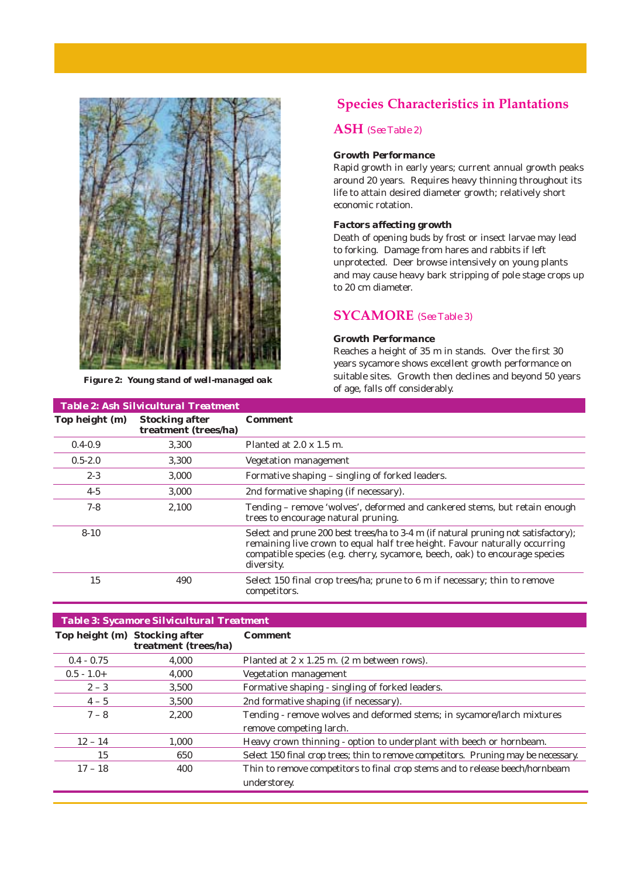

*Figure 2: Young stand of well-managed oak*

# **Species Characteristics in Plantations**

## **ASH** *(See Table 2)*

#### *Growth Performance*

Rapid growth in early years; current annual growth peaks around 20 years. Requires heavy thinning throughout its life to attain desired diameter growth; relatively short economic rotation.

## *Factors affecting growth*

Death of opening buds by frost or insect larvae may lead to forking. Damage from hares and rabbits if left unprotected. Deer browse intensively on young plants and may cause heavy bark stripping of pole stage crops up to 20 cm diameter.

# **SYCAMORE** *(See Table 3)*

### *Growth Performance*

Reaches a height of 35 m in stands. Over the first 30 years sycamore shows excellent growth performance on suitable sites. Growth then declines and beyond 50 years of age, falls off considerably.

| <b>Table 2: Ash Silvicultural Treatment</b> |                                               |                                                                                                                                                                                                                                                               |
|---------------------------------------------|-----------------------------------------------|---------------------------------------------------------------------------------------------------------------------------------------------------------------------------------------------------------------------------------------------------------------|
| Top height (m)                              | <b>Stocking after</b><br>treatment (trees/ha) | <b>Comment</b>                                                                                                                                                                                                                                                |
| $0.4 - 0.9$                                 | 3.300                                         | Planted at $2.0 \times 1.5$ m.                                                                                                                                                                                                                                |
| $0.5 - 2.0$                                 | 3,300                                         | Vegetation management                                                                                                                                                                                                                                         |
| $2 - 3$                                     | 3,000                                         | Formative shaping – singling of forked leaders.                                                                                                                                                                                                               |
| $4-5$                                       | 3,000                                         | 2nd formative shaping (if necessary).                                                                                                                                                                                                                         |
| $7 - 8$                                     | 2,100                                         | Tending – remove 'wolves', deformed and cankered stems, but retain enough<br>trees to encourage natural pruning.                                                                                                                                              |
| $8 - 10$                                    |                                               | Select and prune 200 best trees/ha to 3-4 m (if natural pruning not satisfactory);<br>remaining live crown to equal half tree height. Favour naturally occurring<br>compatible species (e.g. cherry, sycamore, beech, oak) to encourage species<br>diversity. |
| 15                                          | 490                                           | Select 150 final crop trees/ha; prune to 6 m if necessary; thin to remove<br>competitors.                                                                                                                                                                     |

## *Table 3: Sycamore Silvicultural Treatment*

|               | Top height (m) Stocking after<br>treatment (trees/ha) | <b>Comment</b>                                                                     |
|---------------|-------------------------------------------------------|------------------------------------------------------------------------------------|
| $0.4 - 0.75$  | 4.000                                                 | Planted at 2 x 1.25 m. (2 m between rows).                                         |
| $0.5 - 1.0 +$ | 4.000                                                 | <b>Vegetation management</b>                                                       |
| $2 - 3$       | 3.500                                                 | Formative shaping - singling of forked leaders.                                    |
| $4 - 5$       | 3.500                                                 | 2nd formative shaping (if necessary).                                              |
| $7 - 8$       | 2.200                                                 | Tending - remove wolves and deformed stems; in sycamore/larch mixtures             |
|               |                                                       | remove competing larch.                                                            |
| $12 - 14$     | 1.000                                                 | Heavy crown thinning - option to underplant with beech or hornbeam.                |
| 15            | 650                                                   | Select 150 final crop trees; thin to remove competitors. Pruning may be necessary. |
| $17 - 18$     | 400                                                   | Thin to remove competitors to final crop stems and to release beech/hornbeam       |
|               |                                                       | understorey.                                                                       |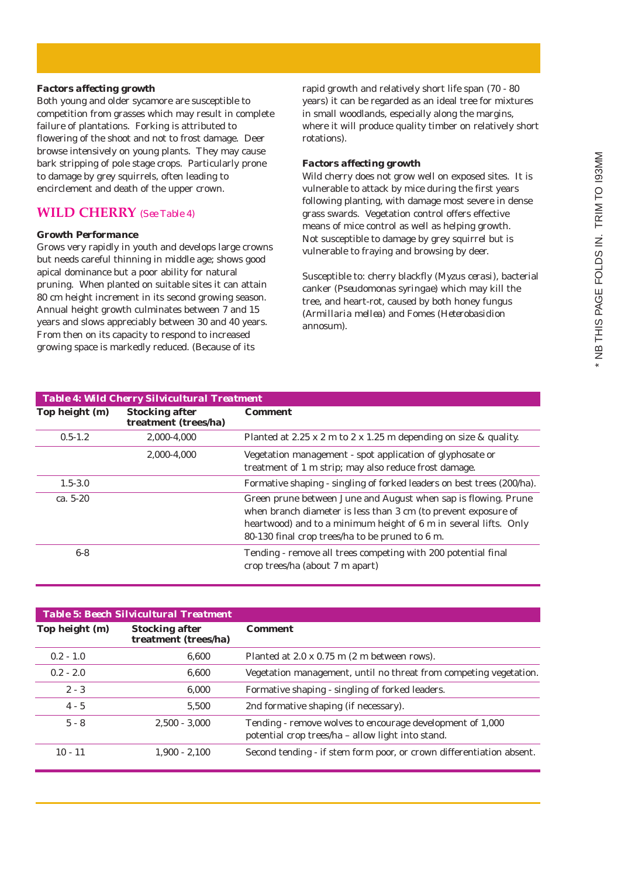## *Factors affecting growth*

Both young and older sycamore are susceptible to competition from grasses which may result in complete failure of plantations. Forking is attributed to flowering of the shoot and not to frost damage. Deer browse intensively on young plants. They may cause bark stripping of pole stage crops. Particularly prone to damage by grey squirrels, often leading to encirclement and death of the upper crown.

# **WILD CHERRY** *(See Table 4)*

## *Growth Performance*

Grows very rapidly in youth and develops large crowns but needs careful thinning in middle age; shows good apical dominance but a poor ability for natural pruning. When planted on suitable sites it can attain 80 cm height increment in its second growing season. Annual height growth culminates between 7 and 15 years and slows appreciably between 30 and 40 years. From then on its capacity to respond to increased growing space is markedly reduced. (Because of its

rapid growth and relatively short life span (70 - 80 years) it can be regarded as an ideal tree for mixtures in small woodlands, especially along the margins, where it will produce quality timber on relatively short rotations).

## *Factors affecting growth*

Wild cherry does not grow well on exposed sites. It is vulnerable to attack by mice during the first years following planting, with damage most severe in dense grass swards. Vegetation control offers effective means of mice control as well as helping growth. Not susceptible to damage by grey squirrel but is vulnerable to fraying and browsing by deer.

Susceptible to: cherry blackfly (*Myzus cerasi*), bacterial canker (*Pseudomonas syringae*) which may kill the tree, and heart-rot, caused by both honey fungus (*Armillaria mellea*) and Fomes (*Heterobasidion annosum)*.

| <b>Table 4: Wild Cherry Silvicultural Treatment</b> |                                               |                                                                                                                                                                                                                                                         |
|-----------------------------------------------------|-----------------------------------------------|---------------------------------------------------------------------------------------------------------------------------------------------------------------------------------------------------------------------------------------------------------|
| Top height (m)                                      | <b>Stocking after</b><br>treatment (trees/ha) | <b>Comment</b>                                                                                                                                                                                                                                          |
| $0.5 - 1.2$                                         | 2.000-4.000                                   | Planted at 2.25 x 2 m to 2 x 1.25 m depending on size & quality.                                                                                                                                                                                        |
|                                                     | 2.000-4.000                                   | Vegetation management - spot application of glyphosate or<br>treatment of 1 m strip; may also reduce frost damage.                                                                                                                                      |
| $1.5 - 3.0$                                         |                                               | Formative shaping - singling of forked leaders on best trees (200/ha).                                                                                                                                                                                  |
| ca. $5-20$                                          |                                               | Green prune between June and August when sap is flowing. Prune<br>when branch diameter is less than 3 cm (to prevent exposure of<br>heartwood) and to a minimum height of 6 m in several lifts. Only<br>80-130 final crop trees/ha to be pruned to 6 m. |
| $6-8$                                               |                                               | Tending - remove all trees competing with 200 potential final<br>crop trees/ha (about 7 m apart)                                                                                                                                                        |

| <b>Table 5: Beech Silvicultural Treatment</b> |                                               |                                                                                                                |
|-----------------------------------------------|-----------------------------------------------|----------------------------------------------------------------------------------------------------------------|
| Top height (m)                                | <b>Stocking after</b><br>treatment (trees/ha) | <b>Comment</b>                                                                                                 |
| $0.2 - 1.0$                                   | 6.600                                         | Planted at 2.0 x 0.75 m (2 m between rows).                                                                    |
| $0.2 - 2.0$                                   | 6.600                                         | Vegetation management, until no threat from competing vegetation.                                              |
| $2 - 3$                                       | 6.000                                         | Formative shaping - singling of forked leaders.                                                                |
| $4 - 5$                                       | 5.500                                         | 2nd formative shaping (if necessary).                                                                          |
| $5 - 8$                                       | $2,500 - 3,000$                               | Tending - remove wolves to encourage development of 1,000<br>potential crop trees/ha - allow light into stand. |
| $10 - 11$                                     | $1.900 - 2.100$                               | Second tending - if stem form poor, or crown differentiation absent.                                           |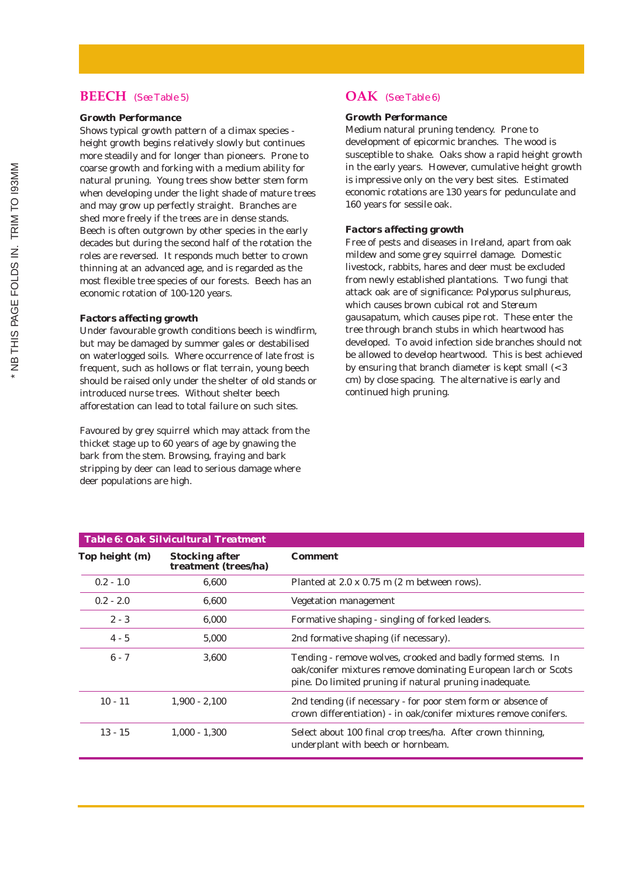## **BEECH** *(See Table 5)*

## *Growth Performance*

Shows typical growth pattern of a climax species height growth begins relatively slowly but continues more steadily and for longer than pioneers. Prone to coarse growth and forking with a medium ability for natural pruning. Young trees show better stem form when developing under the light shade of mature trees and may grow up perfectly straight. Branches are shed more freely if the trees are in dense stands. Beech is often outgrown by other species in the early decades but during the second half of the rotation the roles are reversed. It responds much better to crown thinning at an advanced age, and is regarded as the most flexible tree species of our forests. Beech has an economic rotation of 100-120 years.

#### *Factors affecting growth*

Under favourable growth conditions beech is windfirm, but may be damaged by summer gales or destabilised on waterlogged soils. Where occurrence of late frost is frequent, such as hollows or flat terrain, young beech should be raised only under the shelter of old stands or introduced nurse trees. Without shelter beech afforestation can lead to total failure on such sites.

Favoured by grey squirrel which may attack from the thicket stage up to 60 years of age by gnawing the bark from the stem. Browsing, fraying and bark stripping by deer can lead to serious damage where deer populations are high.

# **OAK** *(See Table 6)*

## *Growth Performance*

Medium natural pruning tendency. Prone to development of epicormic branches. The wood is susceptible to shake. Oaks show a rapid height growth in the early years. However, cumulative height growth is impressive only on the very best sites. Estimated economic rotations are 130 years for pedunculate and 160 years for sessile oak.

## *Factors affecting growth*

Free of pests and diseases in Ireland, apart from oak mildew and some grey squirrel damage. Domestic livestock, rabbits, hares and deer must be excluded from newly established plantations. Two fungi that attack oak are of significance: *Polyporus sulphureus*, which causes brown cubical rot and *Stereum gausapatum*, which causes pipe rot. These enter the tree through branch stubs in which heartwood has developed. To avoid infection side branches should not be allowed to develop heartwood. This is best achieved by ensuring that branch diameter is kept small  $\left( < 3 \right)$ cm) by close spacing. The alternative is early and continued high pruning.

| <b>Table 6: Oak Silvicultural Treatment</b> |                                               |                                                                                                                                                                                          |
|---------------------------------------------|-----------------------------------------------|------------------------------------------------------------------------------------------------------------------------------------------------------------------------------------------|
| Top height (m)                              | <b>Stocking after</b><br>treatment (trees/ha) | <b>Comment</b>                                                                                                                                                                           |
| $0.2 - 1.0$                                 | 6.600                                         | Planted at 2.0 x 0.75 m (2 m between rows).                                                                                                                                              |
| $0.2 - 2.0$                                 | 6,600                                         | <b>Vegetation management</b>                                                                                                                                                             |
| $2 - 3$                                     | 6.000                                         | Formative shaping - singling of forked leaders.                                                                                                                                          |
| $4 - 5$                                     | 5,000                                         | 2nd formative shaping (if necessary).                                                                                                                                                    |
| $6 - 7$                                     | 3,600                                         | Tending - remove wolves, crooked and badly formed stems. In<br>oak/conifer mixtures remove dominating European larch or Scots<br>pine. Do limited pruning if natural pruning inadequate. |
| $10 - 11$                                   | $1,900 - 2,100$                               | 2nd tending (if necessary - for poor stem form or absence of<br>crown differentiation) - in oak/conifer mixtures remove conifers.                                                        |
| $13 - 15$                                   | $1,000 - 1,300$                               | Select about 100 final crop trees/ha. After crown thinning,<br>underplant with beech or hornbeam.                                                                                        |